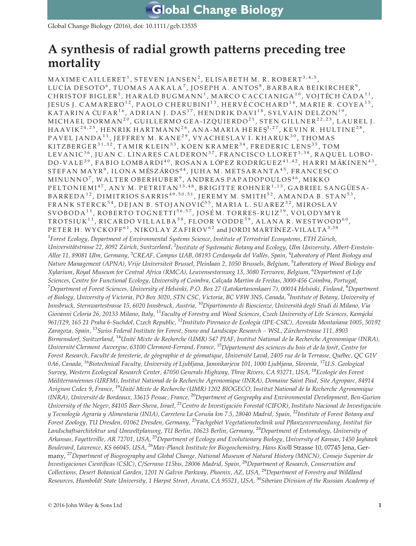Global Change Biology (2016), doi: 10.1111/gcb.13535

# A synthesis of radial growth patterns preceding tree mortality

MAXIME CAILLERET<sup>1</sup>, STEVEN JANSEN<sup>2</sup>, ELISABETH M. R. ROBERT<sup>3,4,5</sup>, LUCÍA DESOTO<sup>6</sup>, TUOMAS AAKALA<sup>7</sup>, JOSEPH A. ANTOS<sup>8</sup>, BARBARA BEIKIRCHER<sup>9</sup>, CHRISTOF BIGLER<sup>1</sup>, HARALD BUGMANN<sup>1</sup>, MARCO CACCIANIGA<sup>10</sup>, VOITECH CADA<sup>11</sup> JESUS J. CAMARERO<sup>12</sup>, PAOLO CHERUBINI<sup>13</sup>, HERVÉ COCHARD<sup>14</sup>, MARIE R. COYEA<sup>15</sup>, KATARINA ČUFAR<sup>16</sup>, ADRIAN J. DAS<sup>17</sup>, HENDRIK DAVI<sup>18</sup>, SYLVAIN DELZON<sup>19</sup>, MICHAEL DORMAN<sup>20</sup>, GUILLERMO GEA-IZQUIERDO<sup>21</sup>, STEN GILLNER<sup>22,23</sup>, LAUREL J. HAAVIK<sup>24,25</sup>, HENRIK HARTMANN<sup>26</sup>, ANA-MARIA HERE $S^{3,27}$ , KEVIN R. HULTINE<sup>28</sup>, PAVEL JANDA<sup>11</sup>, JEFFREY M. KANE<sup>29</sup>, VYACHESLAV I. KHARUK<sup>30</sup>, THOMAS KITZBERGER<sup>31,32</sup>, TAMIR KLEIN<sup>33</sup>, KOEN KRAMER<sup>34</sup>, FREDERIC LENS<sup>35</sup>, TOM LEVANIC<sup>36</sup>, JUAN C. LINARES CALDERON<sup>37</sup>, FRANCISCO LLORET<sup>3,38</sup>, RAQUEL LOBO-DO-VALE<sup>39</sup>, FABIO LOMBARDI<sup>40</sup>, ROSANA LÓPEZ RODRÍGUEZ<sup>41,42</sup>, HARRI MÄKINEN<sup>43</sup>, STEFAN MAYR<sup>9</sup>, ILONA MÉSZÁROS<sup>44</sup>, JUHA M. METSARANTA<sup>45</sup>, FRANCESCO MINUNNO<sup>7</sup>, WALTER OBERHUBER<sup>9</sup>, ANDREAS PAPADOPOULOS<sup>46</sup>, MIKKO  $\tt PELTONIEMI<sup>47</sup>, ANY M. PETRITAN<sup>13,48</sup>, BRIGITTE ROHNER<sup>1,13</sup>, GABRIEL SANGÜESA-$  $\texttt{BARREDA}^{12}$ ,  $\texttt{DIMITRIOS SARRIS}^{49,50,51}$ ,  $\texttt{JEREMY M. SMITH}^{52}$ ,  $\texttt{AMANDA B. STAN}^{53}$ , FRANK STERCK<sup>54</sup>, DEJAN B. STOJANOVIĆ<sup>55</sup>, MARIA L. SUAREZ<sup>32</sup>, MIROSLAV SVOBODA<sup>11</sup>, ROBERTO TOGNETTI<sup>56,57</sup>, JOSÉM. TORRES-RUIZ<sup>19</sup>, VOLODYMYR TROTSIUK<sup>11</sup>, RICARDO VILLALBA<sup>58</sup>, FLOOR VODDE<sup>59</sup>, ALANA R. WESTWOOD<sup>60</sup>, PETER H. WYCKOFF<sup>61</sup>, NIKOLAY ZAFIROV<sup>62</sup> and JORDI MARTINEZ-VILALTA<sup>3,38</sup> <sup>1</sup>Forest Ecology, Department of Environmental Systems Science, Institute of Terrestrial Ecosystems, ETH Zürich, Universitätstrasse 22, 8092 Zürich, Switzerland, <sup>2</sup>Institute of Systematic Botany and Ecology, Ulm University, Albert-Einstein-Allee 11, 89081 Ulm, Germany, <sup>3</sup>CREAF, Campus UAB, 08193 Cerdanyola del Vallès, Spain, <sup>4</sup>Laboratory of Plant Biology and Nature Management (APNA), Vrije Universiteit Brussel, Pleinlaan 2, 1050 Brussels, Belgium, <sup>5</sup>Laboratory of Wood Biology and Xylarium, Royal Museum for Central Africa (RMCA), Leuvensesteenweg 13, 3080 Tervuren, Belgium, <sup>6</sup>Department of Life Sciences, Centre for Functional Ecology, University of Coimbra, Calcada Martim de Freitas, 3000-456 Coimbra, Portugal,  $^7$ Department of Forest Sciences, University of Helsinki, P.O. Box 27 (Latokartanonkaari 7), 00014 Helsinki, Finland,  $^8$ Department of Biology, University of Victoria, PO Box 3020, STN CSC, Victoria, BC V8W 3N5, Canada, <sup>9</sup>Institute of Botany, University of Innsbruck, Sternwartestrasse 15, 6020 Innsbruck, Austria, <sup>10</sup>Dipartimento di Bioscienze, Università degli Studi di Milano, Via Giovanni Celoria 26, 20133 Milano, Italy, <sup>11</sup>Faculty of Forestry and Wood Sciences, Czech University of Life Sciences, Kamýcká 961/129, 165 21 Praha 6-Suchdol, Czech Republic, <sup>12</sup>Instituto Pirenaico de Ecología (IPE-CSIC), Avenida Montañana 1005, 50192 Zaragoza, Spain, <sup>13</sup>Swiss Federal Institute for Forest, Snow and Landscape Research – WSL, Zürcherstrasse 111, 8903 Birmensdorf, Switzerland, <sup>14</sup>Unité Mixte de Recherche (UMR) 547 PIAF, Institut National de la Recherche Agronomique (INRA), Université Clermont Auvergne, 63100 Clermont-Ferrand, France, <sup>15</sup>Département des sciences du bois et de la forêt, Centre for Forest Research, Faculté de foresterie, de géographie et de géomatique, Université Laval, 2405 rue de la Terrasse, Québec, QC G1V 0A6, Canada, <sup>16</sup>Biotechnical Faculty, University of Ljubljana, Jamnikarjeva 101, 1000 Ljubljana, Slovenia, <sup>17</sup>U.S. Geological Survey, Western Ecological Research Center, 47050 Generals Highway, Three Rivers, CA 93271, USA, <sup>18</sup>Ecologie des Forest Méditerranéennes (URFM), Institut National de la Recherche Agronomique (INRA), Domaine Saint Paul, Site Agroparc, 84914 Avignon Cedex 9, France, <sup>19</sup>Unité Mixte de Recherche (UMR) 1202 BIOGECO, Institut National de la Recherche Agronomique (INRA), Universite de Bordeaux, 33615 Pessac, France, <sup>20</sup>Department of Geography and Environmental Development, Ben-Gurion University of the Negev, 84105 Beer-Sheva, Israel, <sup>21</sup>Centro de Investigación Forestal (CIFOR), Instituto Nacional de Investigación y Tecnología Agraria y Alimentaria (INIA), Carretera La Coruña km 7.5, 28040 Madrid, Spain, <sup>22</sup>Institute of Forest Botany and Forest Zoology, TU Dresden, 01062 Dresden, Germany, <sup>23</sup>Fachgebiet Vegetationstechnik und Pflanzenverwendung, Institut für Landschaftsarchitektur und Umweltplanung, TU Berlin, 10623 Berlin, Germany, <sup>24</sup>Department of Entomology, University of Arkansas, Fayetteville, AR 72701, USA, <sup>25</sup>Department of Ecology and Evolutionary Biology, University of Kansas, 1450 Jayhawk Boulevard, Lawrence, KS 66045, USA, <sup>26</sup>Max-Planck Institute for Biogeochemistry, Hans Knöll Strasse 10, 07745 Jena, Germany, <sup>27</sup>Department of Biogeography and Global Change, National Museum of Natural History (MNCN), Consejo Superior de Investigaciones Científicas (CSIC), C/Serrano 115bis, 28006 Madrid, Spain, <sup>28</sup>Department of Research, Conservation and Collections, Desert Botanical Garden, 1201 N Galvin Parkway, Phoenix, AZ, USA, <sup>29</sup>Department of Forestry and Wildland Resources, Humboldt State University, 1 Harpst Street, Arcata, CA 95521, USA, <sup>30</sup>Siberian Division of the Russian Academy of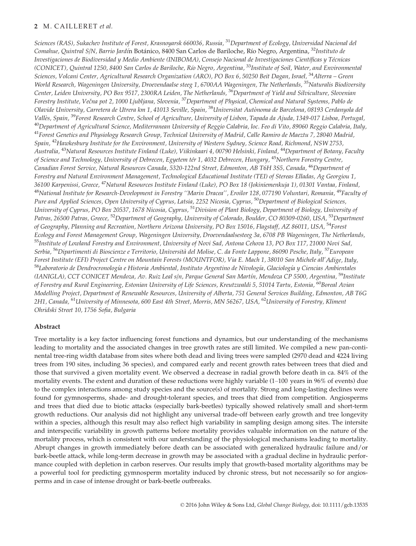# 2 M. CAILLERET et al.

Sciences (RAS), Sukachev Institute of Forest, Krasnovarsk 660036, Russia, <sup>31</sup>Department of Ecology, Universidad Nacional del Comahue, Quintral S/N, Barrio Jardín Botánico, 8400 San Carlos de Bariloche, Río Negro, Argentina, <sup>32</sup>Instituto de Investigaciones de Biodiversidad y Medio Ambiente (INIBOMA), Consejo Nacional de Investigaciones Científicas y Técnicas (CONICET), Quintral 1250, 8400 San Carlos de Bariloche, Rıo Negro, Argentina, <sup>33</sup>Institute of Soil, Water, and Environmental Sciences, Volcani Center, Agricultural Research Organization (ARO), PO Box 6, 50250 Beit Dagan, Israel, <sup>34</sup>Alterra – Green World Research, Wageningen University, Droevendaalse steeg 1, 6700AA Wageningen, The Netherlands, <sup>35</sup>Naturalis Biodiversity Center, Leiden University, PO Box 9517, 2300RA Leiden, The Netherlands, <sup>36</sup>Department of Yield and Silviculture, Slovenian Forestry Institute, Večna pot 2, 1000 Ljubljana, Slovenia, <sup>37</sup>Department of Physical, Chemical and Natural Systems, Pablo de Olavide University, Carretera de Utrera km 1, 41013 Seville, Spain, <sup>38</sup>Universitat Autònoma de Barcelona, 08193 Cerdanyola del Vallès, Spain, <sup>39</sup>Forest Research Centre, School of Agriculture, University of Lisbon, Tapada da Ajuda, 1349-017 Lisboa, Portugal, <sup>40</sup>Department of Agricultural Science, Mediterranean University of Reggio Calabria, loc. Feo di Vito, 89060 Reggio Calabria, Italy, <sup>41</sup>Forest Genetics and Physiology Research Group, Technical University of Madrid, Calle Ramiro de Maeztu 7, 28040 Madrid, Spain, <sup>42</sup>Hawkesbury Institute for the Environment, University of Western Sydney, Science Road, Richmond, NSW 2753, Australia, <sup>43</sup>Natural Resources Institute Finland (Luke), Viikinkaari 4, 00790 Helsinki, Finland, <sup>44</sup>Department of Botany, Faculty of Science and Technology, University of Debrecen, Egyetem tér 1, 4032 Debrecen, Hungary, <sup>45</sup>Northern Forestry Centre, Canadian Forest Service, Natural Resources Canada, 5320-122nd Street, Edmonton, AB T6H 3S5, Canada, <sup>46</sup>Department of Forestry and Natural Environment Management, Technological Educational Institute (TEI) of Stereas Elladas, Ag Georgiou 1, 36100 Karpenissi, Greece, <sup>47</sup>Natural Resources Institute Finland (Luke), PO Box 18 (Jokiniemenkuja 1), 01301 Vantaa, Finland, <sup>48</sup>National Institute for Research-Development in Forestry "Marin Dracea", Eroilor 128, 077190 Voluntari, Romania, <sup>49</sup>Faculty of Pure and Applied Sciences, Open University of Cyprus, Latsia, 2252 Nicosia, Cyprus, <sup>50</sup>Department of Biological Sciences, University of Cyprus, PO Box 20537, 1678 Nicosia, Cyprus, <sup>51</sup>Division of Plant Biology, Department of Biology, University of Patras, 26500 Patras, Greece, <sup>52</sup>Department of Geography, University of Colorado, Boulder, CO 80309-0260, USA, <sup>53</sup>Department of Geography, Planning and Recreation, Northern Arizona University, PO Box 15016, Flagstaff, AZ 86011, USA, <sup>54</sup>Forest Ecology and Forest Management Group, Wageningen University, Droevendaalsesteeg 3a, 6708 PB Wageningen, The Netherlands, 55Institute of Lowland Forestry and Environment, University of Novi Sad, Antona Cehova 13, PO Box 117, 21000 Novi Sad, Serbia, <sup>56</sup>Dipartimenti di Bioscienze e Territorio, Università del Molise, C. da Fonte Lappone, 86090 Pesche, Italy, <sup>57</sup>European Forest Institute (EFI) Project Centre on Mountain Forests (MOUNTFOR), Via E. Mach 1, 38010 San Michele all'Adige, Italy, <sup>58</sup>Laboratorio de Dendrocronología e Historia Ambiental, Instituto Argentino de Nivología, Glaciología y Ciencias Ambientales (IANIGLA), CCT CONICET Mendoza, Av. Ruiz Leal s/n, Parque General San Martín, Mendoza CP 5500, Argentina, <sup>59</sup>Institute of Forestry and Rural Engineering, Estonian University of Life Sciences, Kreutzwaldi 5, 51014 Tartu, Estonia, <sup>60</sup>Boreal Avian Modelling Project, Department of Renewable Resources, University of Alberta, 751 General Services Building, Edmonton, AB T6G 2H1, Canada, <sup>61</sup>University of Minnesota, 600 East 4th Street, Morris, MN 56267, USA, <sup>62</sup>University of Forestry, Kliment Ohridski Street 10, 1756 Sofia, Bulgaria

# Abstract

Tree mortality is a key factor influencing forest functions and dynamics, but our understanding of the mechanisms leading to mortality and the associated changes in tree growth rates are still limited. We compiled a new pan-continental tree-ring width database from sites where both dead and living trees were sampled (2970 dead and 4224 living trees from 190 sites, including 36 species), and compared early and recent growth rates between trees that died and those that survived a given mortality event. We observed a decrease in radial growth before death in ca. 84% of the mortality events. The extent and duration of these reductions were highly variable (1-100 years in 96% of events) due to the complex interactions among study species and the source(s) of mortality. Strong and long-lasting declines were found for gymnosperms, shade- and drought-tolerant species, and trees that died from competition. Angiosperms and trees that died due to biotic attacks (especially bark-beetles) typically showed relatively small and short-term growth reductions. Our analysis did not highlight any universal trade-off between early growth and tree longevity within a species, although this result may also reflect high variability in sampling design among sites. The intersite and interspecific variability in growth patterns before mortality provides valuable information on the nature of the mortality process, which is consistent with our understanding of the physiological mechanisms leading to mortality. Abrupt changes in growth immediately before death can be associated with generalized hydraulic failure and/or bark-beetle attack, while long-term decrease in growth may be associated with a gradual decline in hydraulic performance coupled with depletion in carbon reserves. Our results imply that growth-based mortality algorithms may be a powerful tool for predicting gymnosperm mortality induced by chronic stress, but not necessarily so for angiosperms and in case of intense drought or bark-beetle outbreaks.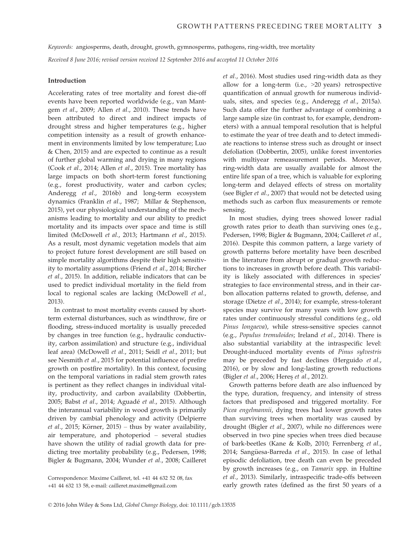Keywords: angiosperms, death, drought, growth, gymnosperms, pathogens, ring-width, tree mortality

Received 8 June 2016; revised version received 12 September 2016 and accepted 11 October 2016

## Introduction

Accelerating rates of tree mortality and forest die-off events have been reported worldwide (e.g., van Mantgem et al., 2009; Allen et al., 2010). These trends have been attributed to direct and indirect impacts of drought stress and higher temperatures (e.g., higher competition intensity as a result of growth enhancement in environments limited by low temperature; Luo & Chen, 2015) and are expected to continue as a result of further global warming and drying in many regions (Cook et al., 2014; Allen et al., 2015). Tree mortality has large impacts on both short-term forest functioning (e.g., forest productivity, water and carbon cycles; Anderegg et al., 2016b) and long-term ecosystem dynamics (Franklin et al., 1987; Millar & Stephenson, 2015), yet our physiological understanding of the mechanisms leading to mortality and our ability to predict mortality and its impacts over space and time is still limited (McDowell et al., 2013; Hartmann et al., 2015). As a result, most dynamic vegetation models that aim to project future forest development are still based on simple mortality algorithms despite their high sensitivity to mortality assumptions (Friend et al., 2014; Bircher et al., 2015). In addition, reliable indicators that can be used to predict individual mortality in the field from local to regional scales are lacking (McDowell et al., 2013).

In contrast to most mortality events caused by shortterm external disturbances, such as windthrow, fire or flooding, stress-induced mortality is usually preceded by changes in tree function (e.g., hydraulic conductivity, carbon assimilation) and structure (e.g., individual leaf area) (McDowell et al., 2011; Seidl et al., 2011; but see Nesmith et al., 2015 for potential influence of prefire growth on postfire mortality). In this context, focusing on the temporal variations in radial stem growth rates is pertinent as they reflect changes in individual vitality, productivity, and carbon availability (Dobbertin, 2005; Babst et al., 2014; Aguadé et al., 2015). Although the interannual variability in wood growth is primarily driven by cambial phenology and activity (Delpierre et al., 2015; Körner, 2015) – thus by water availability, air temperature, and photoperiod – several studies have shown the utility of radial growth data for predicting tree mortality probability (e.g., Pedersen, 1998; Bigler & Bugmann, 2004; Wunder et al., 2008; Cailleret et al., 2016). Most studies used ring-width data as they allow for a long-term (i.e., >20 years) retrospective quantification of annual growth for numerous individuals, sites, and species (e.g., Anderegg et al., 2015a). Such data offer the further advantage of combining a large sample size (in contrast to, for example, dendrometers) with a annual temporal resolution that is helpful to estimate the year of tree death and to detect immediate reactions to intense stress such as drought or insect defoliation (Dobbertin, 2005), unlike forest inventories with multiyear remeasurement periods. Moreover, ring-width data are usually available for almost the entire life span of a tree, which is valuable for exploring long-term and delayed effects of stress on mortality (see Bigler et al., 2007) that would not be detected using methods such as carbon flux measurements or remote sensing.

In most studies, dying trees showed lower radial growth rates prior to death than surviving ones (e.g., Pedersen, 1998; Bigler & Bugmann, 2004; Cailleret et al., 2016). Despite this common pattern, a large variety of growth patterns before mortality have been described in the literature from abrupt or gradual growth reductions to increases in growth before death. This variability is likely associated with differences in species' strategies to face environmental stress, and in their carbon allocation patterns related to growth, defense, and storage (Dietze et al., 2014); for example, stress-tolerant species may survive for many years with low growth rates under continuously stressful conditions (e.g., old Pinus longaeva), while stress-sensitive species cannot (e.g., Populus tremuloides; Ireland et al., 2014). There is also substantial variability at the intraspecific level: Drought-induced mortality events of Pinus sylvestris may be preceded by fast declines (Herguido et al., 2016), or by slow and long-lasting growth reductions (Bigler *et al.*, 2006; Heres *et al.*, 2012).

Growth patterns before death are also influenced by the type, duration, frequency, and intensity of stress factors that predisposed and triggered mortality. For Picea engelmannii, dying trees had lower growth rates than surviving trees when mortality was caused by drought (Bigler et al., 2007), while no differences were observed in two pine species when trees died because of bark-beetles (Kane & Kolb, 2010; Ferrenberg et al., 2014; Sangüesa-Barreda et al., 2015). In case of lethal episodic defoliation, tree death can even be preceded by growth increases (e.g., on Tamarix spp. in Hultine et al., 2013). Similarly, intraspecific trade-offs between early growth rates (defined as the first 50 years of a

Correspondence: Maxime Cailleret, tel. +41 44 632 52 08, fax +41 44 632 13 58, e-mail: cailleret.maxime@gmail.com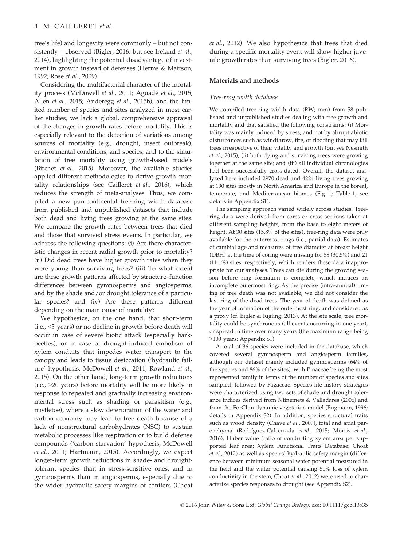tree's life) and longevity were commonly – but not consistently – observed (Bigler, 2016; but see Ireland et al., 2014), highlighting the potential disadvantage of investment in growth instead of defenses (Herms & Mattson, 1992; Rose et al., 2009).

Considering the multifactorial character of the mortality process (McDowell et al., 2011; Aguadé et al., 2015; Allen et al., 2015; Anderegg et al., 2015b), and the limited number of species and sites analyzed in most earlier studies, we lack a global, comprehensive appraisal of the changes in growth rates before mortality. This is especially relevant to the detection of variations among sources of mortality (e.g., drought, insect outbreak), environmental conditions, and species, and to the simulation of tree mortality using growth-based models (Bircher et al., 2015). Moreover, the available studies applied different methodologies to derive growth–mortality relationships (see Cailleret et al., 2016), which reduces the strength of meta-analyses. Thus, we compiled a new pan-continental tree-ring width database from published and unpublished datasets that include both dead and living trees growing at the same sites. We compare the growth rates between trees that died and those that survived stress events. In particular, we address the following questions: (i) Are there characteristic changes in recent radial growth prior to mortality? (ii) Did dead trees have higher growth rates when they were young than surviving trees? (iii) To what extent are these growth patterns affected by structure–function differences between gymnosperms and angiosperms, and by the shade and/or drought tolerance of a particular species? and (iv) Are these patterns different depending on the main cause of mortality?

We hypothesize, on the one hand, that short-term (i.e., <5 years) or no decline in growth before death will occur in case of severe biotic attack (especially barkbeetles), or in case of drought-induced embolism of xylem conduits that impedes water transport to the canopy and leads to tissue desiccation ('hydraulic failure' hypothesis; McDowell et al., 2011; Rowland et al., 2015). On the other hand, long-term growth reductions (i.e., >20 years) before mortality will be more likely in response to repeated and gradually increasing environmental stress such as shading or parasitism (e.g., mistletoe), where a slow deterioration of the water and carbon economy may lead to tree death because of a lack of nonstructural carbohydrates (NSC) to sustain metabolic processes like respiration or to build defense compounds ('carbon starvation' hypothesis; McDowell et al., 2011; Hartmann, 2015). Accordingly, we expect longer-term growth reductions in shade- and droughttolerant species than in stress-sensitive ones, and in gymnosperms than in angiosperms, especially due to the wider hydraulic safety margins of conifers (Choat et al., 2012). We also hypothesize that trees that died during a specific mortality event will show higher juvenile growth rates than surviving trees (Bigler, 2016).

## Materials and methods

## Tree-ring width database

We compiled tree-ring width data (RW; mm) from 58 published and unpublished studies dealing with tree growth and mortality and that satisfied the following constraints: (i) Mortality was mainly induced by stress, and not by abrupt abiotic disturbances such as windthrow, fire, or flooding that may kill trees irrespective of their vitality and growth (but see Nesmith et al., 2015); (ii) both dying and surviving trees were growing together at the same site; and (iii) all individual chronologies had been successfully cross-dated. Overall, the dataset analyzed here included 2970 dead and 4224 living trees growing at 190 sites mostly in North America and Europe in the boreal, temperate, and Mediterranean biomes (Fig. 1; Table 1; see details in Appendix S1).

The sampling approach varied widely across studies. Treering data were derived from cores or cross-sections taken at different sampling heights, from the base to eight meters of height. At 30 sites (15.8% of the sites), tree-ring data were only available for the outermost rings (i.e., partial data). Estimates of cambial age and measures of tree diameter at breast height (DBH) at the time of coring were missing for 58 (30.5%) and 21 (11.1%) sites, respectively, which renders these data inappropriate for our analyses. Trees can die during the growing season before ring formation is complete, which induces an incomplete outermost ring. As the precise (intra-annual) timing of tree death was not available, we did not consider the last ring of the dead trees. The year of death was defined as the year of formation of the outermost ring, and considered as a proxy (cf. Bigler & Rigling, 2013). At the site scale, tree mortality could be synchronous (all events occurring in one year), or spread in time over many years (the maximum range being >100 years; Appendix S1).

A total of 36 species were included in the database, which covered several gymnosperm and angiosperm families, although our dataset mainly included gymnosperms (64% of the species and 86% of the sites), with Pinaceae being the most represented family in terms of the number of species and sites sampled, followed by Fagaceae. Species life history strategies were characterized using two sets of shade and drought tolerance indices derived from Niinemets & Valladares (2006) and from the ForClim dynamic vegetation model (Bugmann, 1996; details in Appendix S2). In addition, species structural traits such as wood density (Chave et al., 2009), total and axial parenchyma (Rodríguez-Calcerrada et al., 2015; Morris et al., 2016), Huber value (ratio of conducting xylem area per supported leaf area; Xylem Functional Traits Database; Choat et al., 2012) as well as species' hydraulic safety margin (difference between minimum seasonal water potential measured in the field and the water potential causing 50% loss of xylem conductivity in the stem; Choat et al., 2012) were used to characterize species responses to drought (see Appendix S2).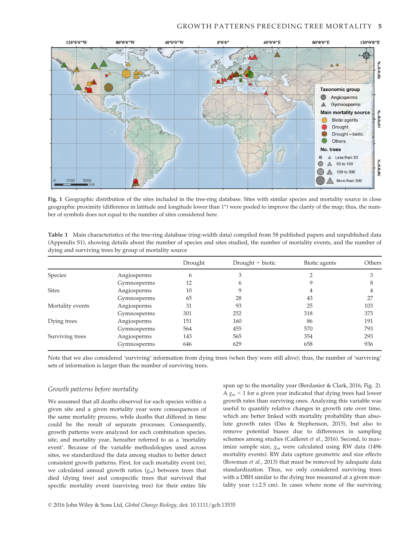## GROWTH PATTERNS PRECEDING TREE MORTALITY 5



Fig. 1 Geographic distribution of the sites included in the tree-ring database. Sites with similar species and mortality source in close geographic proximity (difference in latitude and longitude lower than 1°) were pooled to improve the clarity of the map; thus, the number of symbols does not equal to the number of sites considered here.

| Table 1 Main characteristics of the tree-ring database (ring-width data) compiled from 58 published papers and unpublished data |
|---------------------------------------------------------------------------------------------------------------------------------|
| (Appendix S1), showing details about the number of species and sites studied, the number of mortality events, and the number of |
| dying and surviving trees by group of mortality source                                                                          |

|                  |             | Drought | Drought + biotic | Biotic agents | Others |
|------------------|-------------|---------|------------------|---------------|--------|
| Species          | Angiosperms | 6       | 3                |               |        |
|                  | Gymnosperms | 12      | 6                | Q             | 8      |
| <b>Sites</b>     | Angiosperms | 10      |                  |               |        |
|                  | Gymnosperms | 65      | 28               | 43            | 27     |
| Mortality events | Angiosperms | 31      | 93               | 25            | 103    |
|                  | Gymnosperms | 301     | 252              | 318           | 373    |
| Dying trees      | Angiosperms | 151     | 160              | 86            | 191    |
|                  | Gymnosperms | 564     | 455              | 570           | 793    |
| Surviving trees  | Angiosperms | 143     | 565              | 354           | 293    |
|                  | Gymnosperms | 646     | 629              | 658           | 936    |

Note that we also considered 'surviving' information from dying trees (when they were still alive); thus, the number of 'surviving' sets of information is larger than the number of surviving trees.

# Growth patterns before mortality

We assumed that all deaths observed for each species within a given site and a given mortality year were consequences of the same mortality process, while deaths that differed in time could be the result of separate processes. Consequently, growth patterns were analyzed for each combination species, site, and mortality year, hereafter referred to as a 'mortality event'. Because of the variable methodologies used across sites, we standardized the data among studies to better detect consistent growth patterns. First, for each mortality event (m), we calculated annual growth ratios  $(g_m)$  between trees that died (dying tree) and conspecific trees that survived that specific mortality event (surviving tree) for their entire life

span up to the mortality year (Berdanier & Clark, 2016; Fig. 2). A  $g_m$  < 1 for a given year indicated that dying trees had lower growth rates than surviving ones. Analyzing this variable was useful to quantify relative changes in growth rate over time, which are better linked with mortality probability than absolute growth rates (Das & Stephenson, 2015), but also to remove potential biases due to differences in sampling schemes among studies (Cailleret et al., 2016). Second, to maximize sample size,  $g_m$  were calculated using RW data (1496) mortality events). RW data capture geometric and size effects (Bowman et al., 2013) that must be removed by adequate data standardization. Thus, we only considered surviving trees with a DBH similar to the dying tree measured at a given mortality year  $(\pm 2.5 \text{ cm})$ . In cases where none of the surviving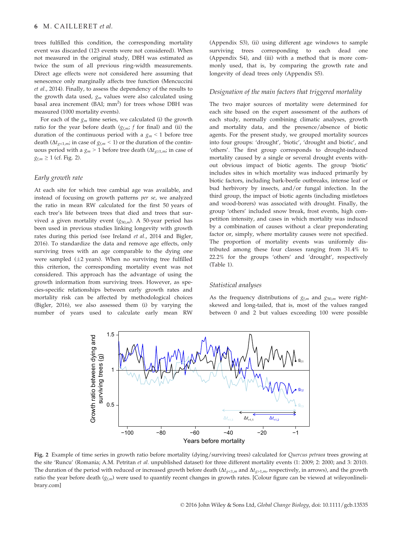trees fulfilled this condition, the corresponding mortality event was discarded (123 events were not considered). When not measured in the original study, DBH was estimated as twice the sum of all previous ring-width measurements. Direct age effects were not considered here assuming that senescence only marginally affects tree function (Mencuccini et al., 2014). Finally, to assess the dependency of the results to the growth data used,  $g_m$  values were also calculated using basal area increment (BAI;  $mm<sup>2</sup>$ ) for trees whose DBH was measured (1000 mortality events).

For each of the  $g_m$  time series, we calculated (i) the growth ratio for the year before death  $(g_{f,m}; f$  for final) and (ii) the duration of the continuous period with a  $g_m < 1$  before tree death ( $\Delta t_{g<1,m}$ ; in case of  $g_{f,m}$  < 1) or the duration of the continuous period with a  $g_m > 1$  before tree death ( $\Delta t_{g \ge 1,m}$ ; in case of  $g_{f,m} \geq 1$  (cf. Fig. 2).

## Early growth rate

At each site for which tree cambial age was available, and instead of focusing on growth patterns per se, we analyzed the ratio in mean RW calculated for the first 50 years of each tree's life between trees that died and trees that survived a given mortality event  $(g_{50,m})$ . A 50-year period has been used in previous studies linking longevity with growth rates during this period (see Ireland et al., 2014 and Bigler, 2016). To standardize the data and remove age effects, only surviving trees with an age comparable to the dying one were sampled  $(\pm 2 \text{ years})$ . When no surviving tree fulfilled this criterion, the corresponding mortality event was not considered. This approach has the advantage of using the growth information from surviving trees. However, as species-specific relationships between early growth rates and mortality risk can be affected by methodological choices (Bigler, 2016), we also assessed them (i) by varying the number of years used to calculate early mean RW (Appendix S3), (ii) using different age windows to sample surviving trees corresponding to each dead (Appendix S4), and (iii) with a method that is more commonly used, that is, by comparing the growth rate and longevity of dead trees only (Appendix S5).

#### Designation of the main factors that triggered mortality

The two major sources of mortality were determined for each site based on the expert assessment of the authors of each study, normally combining climatic analyses, growth and mortality data, and the presence/absence of biotic agents. For the present study, we grouped mortality sources into four groups: 'drought', 'biotic', 'drought and biotic', and 'others'. The first group corresponds to drought-induced mortality caused by a single or several drought events without obvious impact of biotic agents. The group 'biotic' includes sites in which mortality was induced primarily by biotic factors, including bark-beetle outbreaks, intense leaf or bud herbivory by insects, and/or fungal infection. In the third group, the impact of biotic agents (including mistletoes and wood-borers) was associated with drought. Finally, the group 'others' included snow break, frost events, high competition intensity, and cases in which mortality was induced by a combination of causes without a clear preponderating factor or, simply, where mortality causes were not specified. The proportion of mortality events was uniformly distributed among these four classes ranging from 31.4% to 22.2% for the groups 'others' and 'drought', respectively (Table 1).

#### Statistical analyses

As the frequency distributions of  $g_{f,m}$  and  $g_{50,m}$  were rightskewed and long-tailed, that is, most of the values ranged between 0 and 2 but values exceeding 100 were possible



Fig. 2 Example of time series in growth ratio before mortality (dying/surviving trees) calculated for Quercus petraea trees growing at the site 'Runcu' (Romania; A.M. Petritan et al. unpublished dataset) for three different mortality events (1: 2009; 2: 2000; and 3: 2010). The duration of the period with reduced or increased growth before death ( $\Delta t_{g>1,m}$  and  $\Delta t_{g>1,m}$ , respectively, in arrows), and the growth ratio the year before death  $(g<sub>fm</sub>)$  were used to quantify recent changes in growth rates. [Colour figure can be viewed at wileyonlinelibrary.com]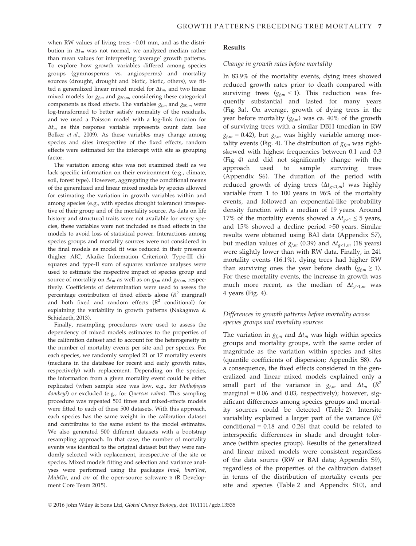when RW values of living trees ~0.01 mm, and as the distribution in  $\Delta t_m$  was not normal, we analyzed median rather than mean values for interpreting 'average' growth patterns. To explore how growth variables differed among species groups (gymnosperms vs. angiosperms) and mortality sources (drought, drought and biotic, biotic, others), we fitted a generalized linear mixed model for  $\Delta t_{m}$ , and two linear mixed models for  $g_{f,m}$  and  $g_{50,m}$ , considering these categorical components as fixed effects. The variables  $g_{f,m}$  and  $g_{50,m}$  were log-transformed to better satisfy normality of the residuals, and we used a Poisson model with a log-link function for  $\Delta t_m$  as this response variable represents count data (see Bolker et al., 2009). As these variables may change among species and sites irrespective of the fixed effects, random effects were estimated for the intercept with site as grouping factor.

The variation among sites was not examined itself as we lack specific information on their environment (e.g., climate, soil, forest type). However, aggregating the conditional means of the generalized and linear mixed models by species allowed for estimating the variation in growth variables within and among species (e.g., with species drought tolerance) irrespective of their group and of the mortality source. As data on life history and structural traits were not available for every species, these variables were not included as fixed effects in the models to avoid loss of statistical power. Interactions among species groups and mortality sources were not considered in the final models as model fit was reduced in their presence (higher AIC, Akaike Information Criterion). Type-III chisquares and type-II sum of squares variance analyses were used to estimate the respective impact of species group and source of mortality on  $\Delta t_m$  as well as on  $g_{f,m}$  and  $g_{50,m}$ , respectively. Coefficients of determination were used to assess the percentage contribution of fixed effects alone  $(R^2 \text{ marginal})$ and both fixed and random effects  $(R^2 \text{ conditional})$  for explaining the variability in growth patterns (Nakagawa & Schielzeth, 2013).

Finally, resampling procedures were used to assess the dependency of mixed models estimates to the properties of the calibration dataset and to account for the heterogeneity in the number of mortality events per site and per species. For each species, we randomly sampled 21 or 17 mortality events (medians in the database for recent and early growth rates, respectively) with replacement. Depending on the species, the information from a given mortality event could be either replicated (when sample size was low, e.g., for Nothofagus dombeyi) or excluded (e.g., for Quercus rubra). This sampling procedure was repeated 500 times and mixed-effects models were fitted to each of these 500 datasets. With this approach, each species has the same weight in the calibration dataset and contributes to the same extent to the model estimates. We also generated 500 different datasets with a bootstrap resampling approach. In that case, the number of mortality events was identical to the original dataset but they were randomly selected with replacement, irrespective of the site or species. Mixed models fitting and selection and variance analyses were performed using the packages lme4, lmerTest,  $MuM$ In, and car of the open-source software  $R$  (R Development Core Team 2015).

#### Results

#### Change in growth rates before mortality

In 83.9% of the mortality events, dying trees showed reduced growth rates prior to death compared with surviving trees  $(g_{f,m} < 1)$ . This reduction was frequently substantial and lasted for many years (Fig. 3a). On average, growth of dying trees in the year before mortality  $(g_{f,m})$  was ca. 40% of the growth of surviving trees with a similar DBH (median in RW  $g_{f,m}$  = 0.42), but  $g_{f,m}$  was highly variable among mortality events (Fig. 4). The distribution of  $g_{f,m}$  was rightskewed with highest frequencies between 0.1 and 0.3 (Fig. 4) and did not significantly change with the approach used to sample surviving trees (Appendix S6). The duration of the period with reduced growth of dying trees  $(\Delta t_{g<1,m})$  was highly variable from 1 to 100 years in 96% of the mortality events, and followed an exponential-like probability density function with a median of 19 years. Around 17% of the mortality events showed a  $\Delta t_{\infty}$   $\leq$  5 years, and 15% showed a decline period >50 years. Similar results were obtained using BAI data (Appendix S7), but median values of  $g_{fm}$  (0.39) and  $\Delta t_{\infty1,m}$  (18 years) were slightly lower than with RW data. Finally, in 241 mortality events (16.1%), dying trees had higher RW than surviving ones the year before death ( $g_{f,m} \geq 1$ ). For these mortality events, the increase in growth was much more recent, as the median of  $\Delta t_{g\geq 1,m}$  was 4 years (Fig. 4).

# Differences in growth patterns before mortality across species groups and mortality sources

The variation in  $g_{f,m}$  and  $\Delta t_m$  was high within species groups and mortality groups, with the same order of magnitude as the variation within species and sites (quantile coefficients of dispersion; Appendix S8). As a consequence, the fixed effects considered in the generalized and linear mixed models explained only a small part of the variance in  $g_{f,m}$  and  $\Delta t_m$  ( $\mathbb{R}^2$ ) marginal =  $0.06$  and  $0.03$ , respectively); however, significant differences among species groups and mortality sources could be detected (Table 2). Intersite variability explained a larger part of the variance  $(R^2)$ conditional  $= 0.18$  and  $0.26$ ) that could be related to interspecific differences in shade and drought tolerance (within species group). Results of the generalized and linear mixed models were consistent regardless of the data source (RW or BAI data; Appendix S9), regardless of the properties of the calibration dataset in terms of the distribution of mortality events per site and species (Table 2 and Appendix S10), and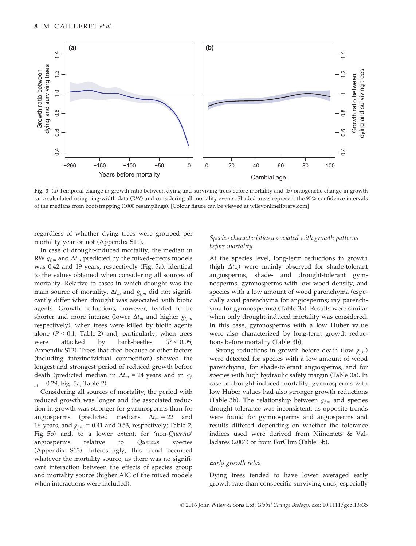

Fig. 3 (a) Temporal change in growth ratio between dying and surviving trees before mortality and (b) ontogenetic change in growth ratio calculated using ring-width data (RW) and considering all mortality events. Shaded areas represent the 95% confidence intervals of the medians from bootstrapping (1000 resamplings). [Colour figure can be viewed at wileyonlinelibrary.com]

regardless of whether dying trees were grouped per mortality year or not (Appendix S11).

In case of drought-induced mortality, the median in RW  $g_{f,m}$  and  $\Delta t_m$  predicted by the mixed-effects models was 0.42 and 19 years, respectively (Fig. 5a), identical to the values obtained when considering all sources of mortality. Relative to cases in which drought was the main source of mortality,  $\Delta t_m$  and  $g_{f,m}$  did not significantly differ when drought was associated with biotic agents. Growth reductions, however, tended to be shorter and more intense (lower  $\Delta t_m$  and higher  $g_{f,m}$ , respectively), when trees were killed by biotic agents alone ( $P < 0.1$ ; Table 2) and, particularly, when trees were attacked by bark-beetles  $(P < 0.05)$ ; Appendix S12). Trees that died because of other factors (including interindividual competition) showed the longest and strongest period of reduced growth before death (predicted median in  $\Delta t_m = 24$  years and in  $g_t$  $_m = 0.29$ ; Fig. 5a; Table 2).

Considering all sources of mortality, the period with reduced growth was longer and the associated reduction in growth was stronger for gymnosperms than for angiosperms (predicted medians  $\Delta t_m = 22$  and 16 years, and  $g_{f,m} = 0.41$  and 0.53, respectively; Table 2; Fig. 5b) and, to a lower extent, for 'non-Quercus' angiosperms relative to Quercus species (Appendix S13). Interestingly, this trend occurred whatever the mortality source, as there was no significant interaction between the effects of species group and mortality source (higher AIC of the mixed models when interactions were included).

# Species characteristics associated with growth patterns before mortality

At the species level, long-term reductions in growth (high  $\Delta t_m$ ) were mainly observed for shade-tolerant angiosperms, shade- and drought-tolerant gymnosperms, gymnosperms with low wood density, and species with a low amount of wood parenchyma (especially axial parenchyma for angiosperms; ray parenchyma for gymnosperms) (Table 3a). Results were similar when only drought-induced mortality was considered. In this case, gymnosperms with a low Huber value were also characterized by long-term growth reductions before mortality (Table 3b).

Strong reductions in growth before death (low  $g_{f,m}$ ) were detected for species with a low amount of wood parenchyma, for shade-tolerant angiosperms, and for species with high hydraulic safety margin (Table 3a). In case of drought-induced mortality, gymnosperms with low Huber values had also stronger growth reductions (Table 3b). The relationship between  $g_{f,m}$  and species drought tolerance was inconsistent, as opposite trends were found for gymnosperms and angiosperms and results differed depending on whether the tolerance indices used were derived from Niinemets & Valladares (2006) or from ForClim (Table 3b).

## Early growth rates

Dying trees tended to have lower averaged early growth rate than conspecific surviving ones, especially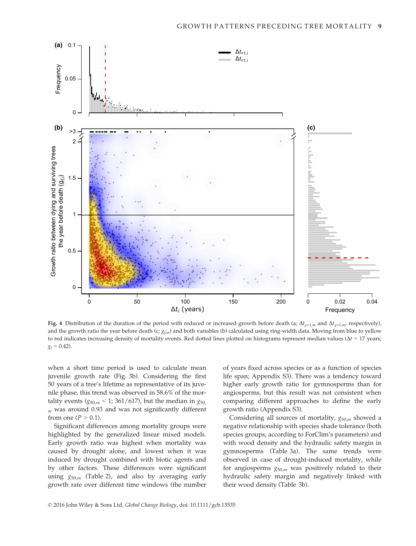

Fig. 4 Distribution of the duration of the period with reduced or increased growth before death (a;  $\Delta t_{\rm gcl,m}$  and  $\Delta t_{\rm gcl,m}$  respectively), and the growth ratio the year before death (c;  $g_{fm}$ ) and both variables (b) calculated using ring-width data. Moving from blue to yellow to red indicates increasing density of mortality events. Red dotted lines plotted on histograms represent median values ( $\Delta t = 17$  years;  $g_f = 0.42$ .

when a short time period is used to calculate mean juvenile growth rate (Fig. 3b). Considering the first 50 years of a tree's lifetime as representative of its juvenile phase, this trend was observed in 58.6% of the mortality events ( $g_{50,m}$  < 1; 361/617), but the median in  $g_{50}$ ,  $<sub>m</sub>$  was around 0.93 and was not significantly different</sub> from one ( $P > 0.1$ ).

Significant differences among mortality groups were highlighted by the generalized linear mixed models. Early growth ratio was highest when mortality was caused by drought alone, and lowest when it was induced by drought combined with biotic agents and by other factors. These differences were significant using  $g_{50,m}$  (Table 2), and also by averaging early growth rate over different time windows (the number of years fixed across species or as a function of species life span; Appendix S3). There was a tendency toward higher early growth ratio for gymnosperms than for angiosperms, but this result was not consistent when comparing different approaches to define the early growth ratio (Appendix S3).

Considering all sources of mortality,  $g_{50,m}$  showed a negative relationship with species shade tolerance (both species groups; according to ForClim's parameters) and with wood density and the hydraulic safety margin in gymnosperms (Table 3a). The same trends were observed in case of drought-induced mortality, while for angiosperms  $g_{50,m}$  was positively related to their hydraulic safety margin and negatively linked with their wood density (Table 3b).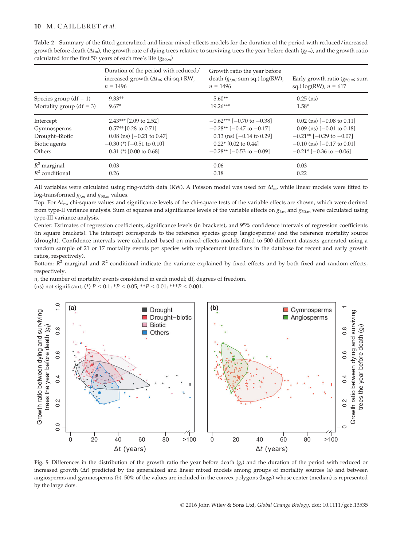| Table 2 Summary of the fitted generalized and linear mixed-effects models for the duration of the period with reduced/increased                             |
|-------------------------------------------------------------------------------------------------------------------------------------------------------------|
| growth before death $(\Delta t_m)$ , the growth rate of dying trees relative to surviving trees the year before death $(g_{\ell m})$ , and the growth ratio |
| calculated for the first 50 years of each tree's life $(g_{50,m})$                                                                                          |

|                              | Duration of the period with reduced/<br>increased growth $(\Delta t_m;$ chi-sq.) RW,<br>$n = 1496$ | Growth ratio the year before<br>death $(g_{f,m}; \text{sum sq.}) \log(\text{RW})$ ,<br>$n = 1496$ | Early growth ratio $(g_{50,m};$ sum<br>sq.) $log(RW)$ , $n = 617$ |
|------------------------------|----------------------------------------------------------------------------------------------------|---------------------------------------------------------------------------------------------------|-------------------------------------------------------------------|
| Species group $(df = 1)$     | $9.33**$                                                                                           | $5.60**$                                                                                          | $0.25$ (ns)                                                       |
| Mortality group ( $df = 3$ ) | $9.67*$                                                                                            | $19.26***$                                                                                        | $1.58*$                                                           |
| Intercept                    | $2.43***$ [2.09 to 2.52]                                                                           | $-0.62***$ [-0.70 to -0.38]                                                                       | $0.02$ (ns) [-0.08 to 0.11]                                       |
| Gymnosperms                  | $0.57**$ [0.28 to 0.71]                                                                            | $-0.28**$ [ $-0.47$ to $-0.17$ ]                                                                  | $0.09$ (ns) [-0.01 to 0.18]                                       |
| Drought-Biotic               | $0.08$ (ns) [-0.21 to 0.47]                                                                        | $0.13$ (ns) [-0.14 to 0.29]                                                                       | $-0.21**$ [ $-0.29$ to $-0.07$ ]                                  |
| Biotic agents                | $-0.30$ (*) $[-0.51$ to 0.10]                                                                      | $0.22*$ [0.02 to 0.44]                                                                            | $-0.10$ (ns) [ $-0.17$ to 0.01]                                   |
| Others                       | $0.31$ (*) [0.00 to 0.68]                                                                          | $-0.28**$ [ $-0.53$ to $-0.09$ ]                                                                  | $-0.21$ <sup>*</sup> $[-0.36 \text{ to } -0.06]$                  |
| $R^2$ marginal               | 0.03                                                                                               | 0.06                                                                                              | 0.03                                                              |
| $R^2$ conditional            | 0.26                                                                                               | 0.18                                                                                              | 0.22                                                              |

All variables were calculated using ring-width data (RW). A Poisson model was used for  $\Delta t_{mv}$  while linear models were fitted to log-transformed  $g_{f,m}$  and  $g_{50,m}$  values.

Top: For  $\Delta t_{\rm m}$ , chi-square values and significance levels of the chi-square tests of the variable effects are shown, which were derived from type-II variance analysis. Sum of squares and significance levels of the variable effects on  $g_{f,m}$  and  $g_{50,m}$  were calculated using type-III variance analysis.

Center: Estimates of regression coefficients, significance levels (in brackets), and 95% confidence intervals of regression coefficients (in square brackets). The intercept corresponds to the reference species group (angiosperms) and the reference mortality source (drought). Confidence intervals were calculated based on mixed-effects models fitted to 500 different datasets generated using a random sample of 21 or 17 mortality events per species with replacement (medians in the database for recent and early growth ratios, respectively).

Bottom:  $R^2$  marginal and  $R^2$  conditional indicate the variance explained by fixed effects and by both fixed and random effects, respectively.

 $n$ , the number of mortality events considered in each model; df, degrees of freedom.

(ns) not significant; (\*)  $P < 0.1$ ; \* $P < 0.05$ ; \*\* $P < 0.01$ ; \*\*\* $P < 0.001$ .



Fig. 5 Differences in the distribution of the growth ratio the year before death  $(q_t)$  and the duration of the period with reduced or increased growth  $(\Delta t)$  predicted by the generalized and linear mixed models among groups of mortality sources (a) and between angiosperms and gymnosperms (b). 50% of the values are included in the convex polygons (bags) whose center (median) is represented by the large dots.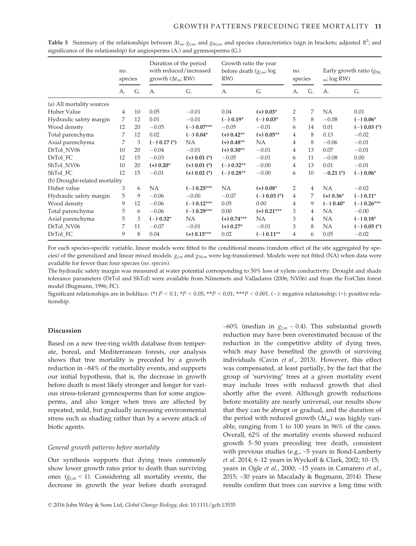|                               | no.<br>species |    | Duration of the period<br>with reduced/increased<br>growth $(\Delta t_m; RW)$ |                  | Growth ratio the year<br>before death $(g_{f,m}; \log$<br>RW) |                  | no.<br>species |    | Early growth ratio $(g_{50})$<br>$_m$ ; log RW) |                  |
|-------------------------------|----------------|----|-------------------------------------------------------------------------------|------------------|---------------------------------------------------------------|------------------|----------------|----|-------------------------------------------------|------------------|
|                               | А.             | G. | A.                                                                            | G.               | А.                                                            | G.               | А.             | G. | А.                                              | G.               |
| (a) All mortality sources     |                |    |                                                                               |                  |                                                               |                  |                |    |                                                 |                  |
| <b>Huber Value</b>            | 4              | 10 | 0.05                                                                          | $-0.01$          | 0.04                                                          | $(+)$ 0.03*      | 2              | 7  | <b>NA</b>                                       | 0.01             |
| Hydraulic safety margin       | 7              | 12 | 0.01                                                                          | $-0.01$          | $(-)$ 0.19 <sup>*</sup>                                       | $(-)$ 0.03*      | 5              | 8  | $-0.08$                                         | $(-)$ 0.06*      |
| Wood density                  | 12             | 20 | $-0.05$                                                                       | $(-)$ 0.07***    | $-0.05$                                                       | $-0.01$          | 6              | 14 | 0.01                                            | $(-)$ 0.03 $(*)$ |
| Total parenchyma              | 7              | 12 | 0.02                                                                          | $(-) 0.04*$      | $(+)$ 0.42**                                                  | $(+)$ 0.05**     | 4              | 8  | 0.13                                            | $-0.02$          |
| Axial parenchyma              | 7              | 3  | $(-)$ 0.17 $(*)$                                                              | NA               | $(+)$ 0.48**                                                  | <b>NA</b>        | 4              | 8  | $-0.06$                                         | $-0.01$          |
| DrTol NV06                    | 10             | 20 | $-0.04$                                                                       | $-0.01$          | $(+)$ 0.30**                                                  | $-0.01$          | 4              | 13 | 0.07                                            | $-0.01$          |
| DrTol FC                      | 12             | 15 | $-0.03$                                                                       | $(+)$ 0.01 $(*)$ | $-0.05$                                                       | $-0.01$          | 6              | 11 | $-0.08$                                         | 0.00             |
| ShTol NV06                    | 10             | 20 | $(+)$ 0.20 $*$                                                                | $(+)$ 0.01 $(*)$ | $(-)$ 0.32**                                                  | $-0.00$          | $\overline{4}$ | 13 | 0.01                                            | $-0.01$          |
| ShTol FC                      | 12             | 15 | $-0.01$                                                                       | $(+)$ 0.02 $(*)$ | $(-)$ 0.28**                                                  | $-0.00$          | 6              | 10 | $-0.21$ (*)                                     | $(-)$ 0.06*      |
| (b) Drought-related mortality |                |    |                                                                               |                  |                                                               |                  |                |    |                                                 |                  |
| Huber value                   | 3              | 6  | <b>NA</b>                                                                     | $(-)$ 0.25***    | <b>NA</b>                                                     | $(+)$ 0.08*      | $\overline{2}$ | 4  | <b>NA</b>                                       | $-0.02$          |
| Hydraulic safety margin       | 5              | 9  | $-0.06$                                                                       | $-0.00$          | $-0.07$                                                       | $(-)$ 0.03 $(*)$ | 4              | 7  | $(+)$ 0.36*                                     | $(-) 0.11*$      |
| Wood density                  | 9              | 12 | $-0.06$                                                                       | $(-)$ 0.12***    | 0.05                                                          | 0.00             | 4              | 9  | $(-) 0.40*$                                     | $(-)$ 0.26***    |
| Total parenchyma              | 5              | 6  | $-0.06$                                                                       | $(-)$ 0.29***    | 0.00                                                          | $(+)$ 0.21***    | 3              | 4  | NA                                              | $-0.00$          |
| Axial parenchyma              | 5              | 3  | $(-) 0.32^*$                                                                  | NA               | $(+)$ 0.74***                                                 | <b>NA</b>        | 3              | 4  | <b>NA</b>                                       | $(-) 0.18^*$     |
| DrTol NV06                    | 7              | 11 | $-0.07$                                                                       | $-0.01$          | $(+)$ 0.27 <sup>*</sup>                                       | $-0.01$          | 3              | 8  | <b>NA</b>                                       | $(-)$ 0.05 $(*)$ |
| DrTol FC                      | 9              | 8  | 0.04                                                                          | $(+)$ 0.15***    | 0.02                                                          | $(-)$ 0.11**     | 4              | 6  | 0.05                                            | $-0.02$          |

**Table 3** Summary of the relationships between  $\Delta t_m$ ,  $g_{f,m}$ , and  $g_{50,m}$ , and species characteristics (sign in brackets; adjusted  $R^2$ ; and significance of the relationship) for angiosperms (A.) and gymnosperms (G.)

For each species-specific variable, linear models were fitted to the conditional means (random effect of the site aggregated by species) of the generalized and linear mixed models.  $g_{f,m}$  and  $g_{50,m}$  were log-transformed. Models were not fitted (NA) when data were available for fewer than four species (no. species).

The hydraulic safety margin was measured at water potential corresponding to 50% loss of xylem conductivity. Drought and shade tolerance parameters (DrTol and ShTol) were available from Niinemets and Valladares (2006; NV06) and from the ForClim forest model (Bugmann, 1996; FC).

Significant relationships are in boldface. (\*)  $P < 0.1$ ; \*P  $< 0.05$ ; \*\*P  $< 0.01$ ; \*\*\*P  $< 0.001$ . (-): negative relationship; (+): positive relationship.

#### Discussion

Based on a new tree-ring width database from temperate, boreal, and Mediterranean forests, our analysis shows that tree mortality is preceded by a growth reduction in ~84% of the mortality events, and supports our initial hypothesis, that is, the decrease in growth before death is most likely stronger and longer for various stress-tolerant gymnosperms than for some angiosperms, and also longer when trees are affected by repeated, mild, but gradually increasing environmental stress such as shading rather than by a severe attack of biotic agents.

# General growth patterns before mortality

Our synthesis supports that dying trees commonly show lower growth rates prior to death than surviving ones ( $g_{f,m}$  < 1). Considering all mortality events, the decrease in growth the year before death averaged ~60% (median in  $g_{f,m}$  ~ 0.4). This substantial growth reduction may have been overestimated because of the reduction in the competitive ability of dying trees, which may have benefited the growth of surviving individuals (Cavin et al., 2013). However, this effect was compensated, at least partially, by the fact that the group of 'surviving' trees at a given mortality event may include trees with reduced growth that died shortly after the event. Although growth reductions before mortality are nearly universal, our results show that they can be abrupt or gradual, and the duration of the period with reduced growth  $(\Delta t_m)$  was highly variable, ranging from 1 to 100 years in 96% of the cases. Overall, 62% of the mortality events showed reduced growth 5–50 years preceding tree death, consistent with previous studies (e.g., ~5 years in Bond-Lamberty et al. 2014; 6–12 years in Wyckoff & Clark, 2002; 10–15; years in Ogle et al., 2000; ~15 years in Camarero et al., 2015; ~30 years in Macalady & Bugmann, 2014). These results confirm that trees can survive a long time with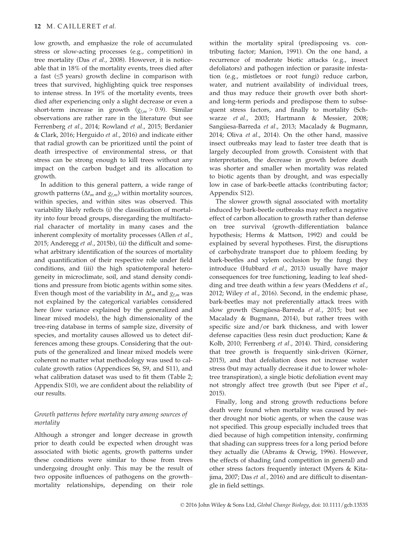low growth, and emphasize the role of accumulated stress or slow-acting processes (e.g., competition) in tree mortality (Das et al., 2008). However, it is noticeable that in 18% of the mortality events, trees died after a fast (≤5 years) growth decline in comparison with trees that survived, highlighting quick tree responses to intense stress. In 19% of the mortality events, trees died after experiencing only a slight decrease or even a short-term increase in growth  $(g<sub>fm</sub> > 0.9)$ . Similar observations are rather rare in the literature (but see Ferrenberg et al., 2014; Rowland et al., 2015; Berdanier & Clark, 2016; Herguido et al., 2016) and indicate either that radial growth can be prioritized until the point of death irrespective of environmental stress, or that stress can be strong enough to kill trees without any impact on the carbon budget and its allocation to growth.

In addition to this general pattern, a wide range of growth patterns ( $\Delta t_m$  and  $g_{f,m}$ ) within mortality sources, within species, and within sites was observed. This variability likely reflects (i) the classification of mortality into four broad groups, disregarding the multifactorial character of mortality in many cases and the inherent complexity of mortality processes (Allen et al., 2015; Anderegg et al., 2015b), (ii) the difficult and somewhat arbitrary identification of the sources of mortality and quantification of their respective role under field conditions, and (iii) the high spatiotemporal heterogeneity in microclimate, soil, and stand density conditions and pressure from biotic agents within some sites. Even though most of the variability in  $\Delta t_m$  and  $g_{f,m}$  was not explained by the categorical variables considered here (low variance explained by the generalized and linear mixed models), the high dimensionality of the tree-ring database in terms of sample size, diversity of species, and mortality causes allowed us to detect differences among these groups. Considering that the outputs of the generalized and linear mixed models were coherent no matter what methodology was used to calculate growth ratios (Appendices S6, S9, and S11), and what calibration dataset was used to fit them (Table 2; Appendix S10), we are confident about the reliability of our results.

# Growth patterns before mortality vary among sources of mortality

Although a stronger and longer decrease in growth prior to death could be expected when drought was associated with biotic agents, growth patterns under these conditions were similar to those from trees undergoing drought only. This may be the result of two opposite influences of pathogens on the growth– mortality relationships, depending on their role

within the mortality spiral (predisposing vs. contributing factor; Manion, 1991). On the one hand, a recurrence of moderate biotic attacks (e.g., insect defoliators) and pathogen infection or parasite infestation (e.g., mistletoes or root fungi) reduce carbon, water, and nutrient availability of individual trees, and thus may reduce their growth over both shortand long-term periods and predispose them to subsequent stress factors, and finally to mortality (Schwarze et al., 2003; Hartmann & Messier, 2008; Sangüesa-Barreda et al., 2013; Macalady & Bugmann, 2014; Oliva et al., 2014). On the other hand, massive insect outbreaks may lead to faster tree death that is largely decoupled from growth. Consistent with that interpretation, the decrease in growth before death was shorter and smaller when mortality was related to biotic agents than by drought, and was especially low in case of bark-beetle attacks (contributing factor; Appendix S12).

The slower growth signal associated with mortality induced by bark-beetle outbreaks may reflect a negative effect of carbon allocation to growth rather than defense on tree survival (growth–differentiation balance hypothesis; Herms & Mattson, 1992) and could be explained by several hypotheses. First, the disruptions of carbohydrate transport due to phloem feeding by bark-beetles and xylem occlusion by the fungi they introduce (Hubbard et al., 2013) usually have major consequences for tree functioning, leading to leaf shedding and tree death within a few years (Meddens et al., 2012; Wiley et al., 2016). Second, in the endemic phase, bark-beetles may not preferentially attack trees with slow growth (Sangüesa-Barreda et al., 2015; but see Macalady & Bugmann, 2014), but rather trees with specific size and/or bark thickness, and with lower defense capacities (less resin duct production; Kane & Kolb, 2010; Ferrenberg et al., 2014). Third, considering that tree growth is frequently sink-driven (Körner, 2015), and that defoliation does not increase water stress (but may actually decrease it due to lower wholetree transpiration), a single biotic defoliation event may not strongly affect tree growth (but see Piper et al., 2015).

Finally, long and strong growth reductions before death were found when mortality was caused by neither drought nor biotic agents, or when the cause was not specified. This group especially included trees that died because of high competition intensity, confirming that shading can suppress trees for a long period before they actually die (Abrams & Orwig, 1996). However, the effects of shading (and competition in general) and other stress factors frequently interact (Myers & Kitajima, 2007; Das et al., 2016) and are difficult to disentangle in field settings.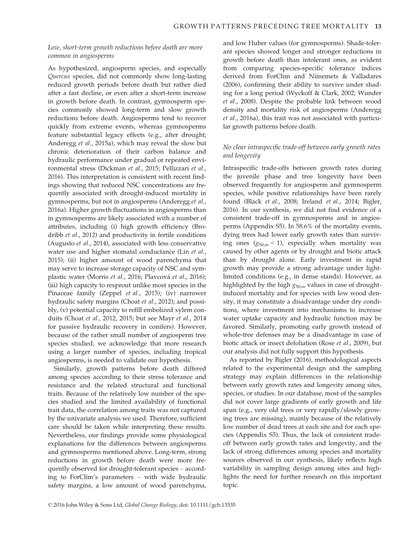# Low, short-term growth reductions before death are more common in angiosperms

As hypothesized, angiosperm species, and especially Quercus species, did not commonly show long-lasting reduced growth periods before death but rather died after a fast decline, or even after a short-term increase in growth before death. In contrast, gymnosperm species commonly showed long-term and slow growth reductions before death. Angiosperms tend to recover quickly from extreme events, whereas gymnosperms feature substantial legacy effects (e.g., after drought; Anderegg et al., 2015a), which may reveal the slow but chronic deterioration of their carbon balance and hydraulic performance under gradual or repeated environmental stress (Dickman et al., 2015; Pellizzari et al., 2016). This interpretation is consistent with recent findings showing that reduced NSC concentrations are frequently associated with drought-induced mortality in gymnosperms, but not in angiosperms (Anderegg et al., 2016a). Higher growth fluctuations in angiosperms than in gymnosperms are likely associated with a number of attributes, including (i) high growth efficiency (Brodribb et al., 2012) and productivity in fertile conditions (Augusto et al., 2014), associated with less conservative water use and higher stomatal conductance (Lin et al., 2015); (ii) higher amount of wood parenchyma that may serve to increase storage capacity of NSC and symplastic water (Morris et al., 2016; Plavcová et al., 2016); (iii) high capacity to resprout unlike most species in the Pinaceae family (Zeppel et al., 2015); (iv) narrower hydraulic safety margins (Choat et al., 2012); and possibly, (v) potential capacity to refill embolized xylem conduits (Choat et al., 2012, 2015; but see Mayr et al., 2014 for passive hydraulic recovery in conifers). However, because of the rather small number of angiosperm tree species studied, we acknowledge that more research using a larger number of species, including tropical angiosperms, is needed to validate our hypothesis.

Similarly, growth patterns before death differed among species according to their stress tolerance and resistance and the related structural and functional traits. Because of the relatively low number of the species studied and the limited availability of functional trait data, the correlation among traits was not captured by the univariate analysis we used. Therefore, sufficient care should be taken while interpreting these results. Nevertheless, our findings provide some physiological explanations for the differences between angiosperms and gymnosperms mentioned above. Long-term, strong reductions in growth before death were more frequently observed for drought-tolerant species – according to ForClim's parameters – with wide hydraulic safety margins, a low amount of wood parenchyma,

and low Huber values (for gymnosperms). Shade-tolerant species showed longer and stronger reductions in growth before death than intolerant ones, as evident from comparing species-specific tolerance indices derived from ForClim and Niinemets & Valladares (2006), confirming their ability to survive under shading for a long period (Wyckoff & Clark, 2002; Wunder et al., 2008). Despite the probable link between wood density and mortality risk of angiosperms (Anderegg et al., 2016a), this trait was not associated with particular growth patterns before death.

# No clear intraspecific trade-off between early growth rates and longevity

Intraspecific trade-offs between growth rates during the juvenile phase and tree longevity have been observed frequently for angiosperm and gymnosperm species, while positive relationships have been rarely found (Black et al., 2008; Ireland et al., 2014; Bigler, 2016). In our synthesis, we did not find evidence of a consistent trade-off in gymnosperms and in angiosperms (Appendix S5). In 58.6% of the mortality events, dying trees had lower early growth rates than surviving ones  $(g_{50,m} < 1)$ , especially when mortality was caused by other agents or by drought and biotic attack than by drought alone. Early investment in rapid growth may provide a strong advantage under lightlimited conditions (e.g., in dense stands). However, as highlighted by the high  $g_{50,m}$  values in case of droughtinduced mortality and for species with low wood density, it may constitute a disadvantage under dry conditions, where investment into mechanisms to increase water uptake capacity and hydraulic function may be favored. Similarly, promoting early growth instead of whole-tree defenses may be a disadvantage in case of biotic attack or insect defoliation (Rose et al., 2009), but our analysis did not fully support this hypothesis.

As reported by Bigler (2016), methodological aspects related to the experimental design and the sampling strategy may explain differences in the relationship between early growth rates and longevity among sites, species, or studies. In our database, most of the samples did not cover large gradients of early growth and life span (e.g., very old trees or very rapidly/slowly growing trees are missing), mainly because of the relatively low number of dead trees at each site and for each species (Appendix S5). Thus, the lack of consistent tradeoff between early growth rates and longevity, and the lack of strong differences among species and mortality sources observed in our synthesis, likely reflects high variability in sampling design among sites and highlights the need for further research on this important topic.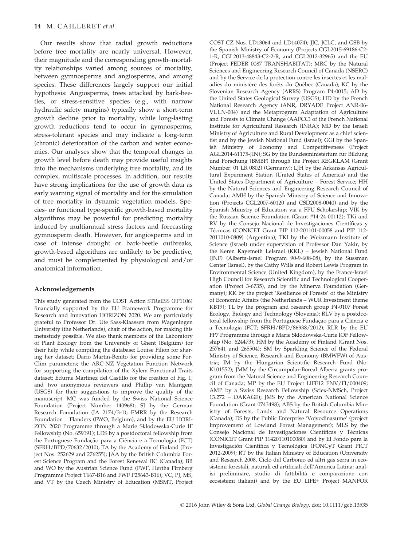Our results show that radial growth reductions before tree mortality are nearly universal. However, their magnitude and the corresponding growth–mortality relationships varied among sources of mortality, between gymnosperms and angiosperms, and among species. These differences largely support our initial hypothesis: Angiosperms, trees attacked by bark-beetles, or stress-sensitive species (e.g., with narrow hydraulic safety margins) typically show a short-term growth decline prior to mortality, while long-lasting growth reductions tend to occur in gymnosperms, stress-tolerant species and may indicate a long-term (chronic) deterioration of the carbon and water economies. Our analyses show that the temporal changes in growth level before death may provide useful insights into the mechanisms underlying tree mortality, and its complex, multiscale processes. In addition, our results have strong implications for the use of growth data as early warning signal of mortality and for the simulation of tree mortality in dynamic vegetation models. Species- or functional type-specific growth-based mortality algorithms may be powerful for predicting mortality induced by multiannual stress factors and forecasting gymnosperm death. However, for angiosperms and in case of intense drought or bark-beetle outbreaks, growth-based algorithms are unlikely to be predictive, and must be complemented by physiological and/or anatomical information.

#### Acknowledgements

This study generated from the COST Action STReESS (FP1106) financially supported by the EU Framework Programme for Research and Innovation HORIZON 2020. We are particularly grateful to Professor Dr. Ute Sass-Klaassen from Wageningen University (the Netherlands), chair of the action, for making this metastudy possible. We also thank members of the Laboratory of Plant Ecology from the University of Ghent (Belgium) for their help while compiling the database; Louise Filion for sharing her dataset; Dario Martin-Benito for providing some For-Clim parameters; the ARC-NZ Vegetation Function Network for supporting the compilation of the Xylem Functional Traits dataset; Edurne Martinez del Castillo for the creation of Fig. 1; and two anonymous reviewers and Phillip van Mantgem (USGS) for their suggestions to improve the quality of the manuscript. MC was funded by the Swiss National Science Foundation (Project Number 140968); SJ by the German Research Foundation (JA 2174/3-1); EMRR by the Research Foundation – Flanders (FWO, Belgium), and by the EU HORI-ZON 2020 Programme through a Marie Skłodowska-Curie IF Fellowship (No. 659191); LDS by a postdoctoral fellowship from the Portuguese Fundação para a Ciência e a Tecnologia (FCT) (SFRH/BPD/70632/2010); TA by the Academy of Finland (Project Nos. 252629 and 276255); JAA by the British Columbia Forest Science Program and the Forest Renewal BC (Canada); BB and WO by the Austrian Science Fund (FWF, Hertha Firnberg Programme Project T667-B16 and FWF P25643-B16); VC, PJ, MS, and VT by the Czech Ministry of Education (M SMT, Project

COST CZ Nos. LD13064 and LD14074): IIC, ICLC, and GSB by the Spanish Ministry of Economy (Projects CGL2015-69186-C2- 1-R, CGL2013-48843-C2-2-R, and CGL2012-32965) and the EU (Project FEDER 0087 TRANSHABITAT); MRC by the Natural Sciences and Engineering Research Council of Canada (NSERC) and by the Service de la protection contre les insectes et les maladies du ministère des forêts du Québec (Canada); KC by the Slovenian Research Agency (ARRS) Program P4-0015; AD by the United States Geological Survey (USGS); HD by the French National Research Agency (ANR, DRYADE Project ANR-06- VULN-004) and the Metaprogram Adaptation of Agriculture and Forests to Climate Change (AAFCC) of the French National Institute for Agricultural Research (INRA); MD by the Israeli Ministry of Agriculture and Rural Development as a chief scientist and by the Jewish National Fund (Israel); GGI by the Spanish Ministry of Economy and Competitiveness (Project AGL2014-61175-JIN); SG by the Bundesministerium für Bildung und Forschung (BMBF) through the Project REGKLAM (Grant Number: 01 LR 0802) (Germany); LJH by the Arkansas Agricultural Experiment Station (United States of America) and the United States Department of Agriculture – Forest Service; HH by the Natural Sciences and Engineering Research Council of Canada; AMH by the Spanish Ministry of Science and Innovation (Projects CGL2007-60120 and CSD2008-0040) and by the Spanish Ministry of Education via a FPU Scholarship; VIK by the Russian Science Foundation (Grant #14-24-00112); TKi and RV by the Consejo Nacional de Investigaciones Cientıficas y Técnicas (CONICET Grant PIP 112-201101-00058 and PIP 112-2011010-0809) (Argentina); TKl by the Weizmann Institute of Science (Israel) under supervision of Professor Dan Yakir, by the Keren Kayemeth LeIsrael (KKL) – Jewish National Fund (JNF) (Alberta-Israel Program 90-9-608-08), by the Sussman Center (Israel), by the Cathy Wills and Robert Lewis Program in Environmental Science (United Kingdom), by the France-Israel High Council for Research Scientific and Technological Cooperation (Project 3-6735), and by the Minerva Foundation (Germany); KK by the project 'Resilience of Forests' of the Ministry of Economic Affairs (the Netherlands – WUR Investment theme KB19); TL by the program and research group P4-0107 Forest Ecology, Biology and Technology (Slovenia); RLV by a postdoctoral fellowship from the Portuguese Fundação para a Ciência e a Tecnologia (FCT; SFRH/BPD/86938/2012); RLR by the EU FP7 Programme through a Marie Skłodowska-Curie IOF Fellowship (No. 624473); HM by the Academy of Finland (Grant Nos. 257641 and 265504); SM by Sparkling Science of the Federal Ministry of Science, Research and Economy (BMWFW) of Austria; IM by the Hungarian Scientific Research Fund (No. K101552); JMM by the Circumpolar-Boreal Alberta grants program from the Natural Science and Engineering Research Council of Canada; MP by the EU Project LIFE12 ENV/FI/000409; AMP by a Swiss Research Fellowship (Sciex-NMSch, Project 13.272 – OAKAGE); JMS by the American National Science Foundation (Grant 0743498); ABS by the British Columbia Ministry of Forests, Lands and Natural Resource Operations (Canada); DS by the Public Enterprise 'Vojvodinasume' (project Improvement of Lowland Forest Management); MLS by the Consejo Nacional de Investigaciones Científicas y Técnicas (CONICET Grant PIP 11420110100080) and by El Fondo para la Investigación Científica y Tecnológica (FONCyT Grant PICT 2012-2009); RT by the Italian Ministry of Education (University and Research 2008, Ciclo del Carbonio ed altri gas serra in ecosistemi forestali, naturali ed artificiali dell'America Latina: analisi preliminare, studio di fattibilita e comparazione con ecosistemi italiani) and by the EU LIFE+ Project MANFOR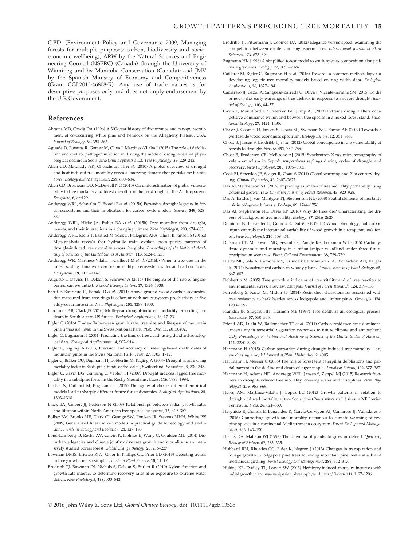C.BD. (Environment Policy and Governance 2009, Managing forests for multiple purposes: carbon, biodiversity and socioeconomic wellbeing); ARW by the Natural Sciences and Engineering Council (NSERC) (Canada) through the University of Winnipeg and by Manitoba Conservation (Canada); and JMV by the Spanish Ministry of Economy and Competitiveness (Grant CGL2013-46808-R). Any use of trade names is for descriptive purposes only and does not imply endorsement by the U.S. Government.

## References

- Abrams MD, Orwig DA (1996) A 300-year history of disturbance and canopy recruitment of co-occurring white pine and hemlock on the Allegheny Plateau, USA. Journal of Ecology, 84, 353–363.
- Aguadé D, Poyatos R, Gómez M, Oliva J, Martínez-Vilalta J (2015) The role of defoliation and root rot pathogen infection in driving the mode of drought-related physiological decline in Scots pine (Pinus sylvestris L.). Tree Physiology, 35, 229–242.
- Allen CD, Macalady AK, Chenchouni H et al. (2010) A global overview of drought and heat-induced tree mortality reveals emerging climate change risks for forests. Forest Ecology and Management, 259, 660–684.
- Allen CD, Breshears DD, McDowell NG (2015) On underestimation of global vulnerability to tree mortality and forest die-off from hotter drought in the Anthropocene. Ecosphere, 6, art129.
- Anderegg WRL, Schwalm C, Biondi F et al. (2015a) Pervasive drought legacies in forest ecosystems and their implications for carbon cycle models. Science, 349, 528– 532.
- Anderegg WRL, Hicke JA, Fisher RA et al. (2015b) Tree mortality from drought, insects, and their interactions in a changing climate. New Phytologist, 208, 674–683.
- Anderegg WRL, Klein T, Bartlett M, Sack L, Pellegrini AFA, Choat B, Jansen S (2016a) Meta-analysis reveals that hydraulic traits explain cross-species patterns of drought-induced tree mortality across the globe. Proceedings of the National Academy of Sciences of the United States of America, 113, 5024–5029.
- Anderegg WR, Martinez-Vilalta J, Cailleret M et al. (2016b) When a tree dies in the forest: scaling climate-driven tree mortality to ecosystem water and carbon fluxes. Ecosystems, 19, 1133–1147.
- Augusto L, Davies TJ, Delzon S, Schrijver A (2014) The enigma of the rise of angiosperms: can we untie the knot? Ecology Letters, 17, 1326–1338.
- Babst F, Bouriaud O, Papale D et al. (2014) Above-ground woody carbon sequestration measured from tree rings is coherent with net ecosystem productivity at five eddy-covariance sites. New Phytologist, 201, 1289–1303.
- Berdanier AB, Clark JS (2016) Multi-year drought-induced morbidity preceding tree death in Southeastern US forests. Ecological Applications, 26, 17–23.
- Bigler C (2016) Trade-offs between growth rate, tree size and lifespan of mountain pine (Pinus montana) in the Swiss National Park. PLoS One, 11, e0150402.
- Bigler C, Bugmann H (2004) Predicting the time of tree death using dendrochronological data. Ecological Applications, 14, 902–914.
- Bigler C, Rigling A (2013) Precision and accuracy of tree-ring-based death dates of mountain pines in the Swiss National Park. Trees, 27, 1703–1712.
- Bigler C, Bräker OU, Bugmann H, Dobbertin M, Rigling A (2006) Drought as an inciting mortality factor in Scots pine stands of the Valais, Switzerland. Ecosystems, 9, 330–343.
- Bigler C, Gavin DG, Gunning C, Veblen TT (2007) Drought induces lagged tree mortality in a subalpine forest in the Rocky Mountains. Oikos, 116, 1983–1994.
- Bircher N, Cailleret M, Bugmann H (2015) The agony of choice: different empirical models lead to sharply different future forest dynamics. Ecological Applications, 25, 1303–1318.
- Black BA, Colbert JJ, Pederson N (2008) Relationships between radial growth rates and lifespan within North American tree species. Ecoscience, 15, 349–357.
- Bolker BM, Brooks ME, Clark CJ, Geange SW, Poulsen JR, Stevens MHH, White JSS (2009) Generalized linear mixed models: a practical guide for ecology and evolution. Trends in Ecology and Evolution, 24, 127–135.
- Bond-Lamberty B, Rocha AV, Calvin K, Holmes B, Wang C, Goulden ML (2014) Disturbance legacies and climate jointly drive tree growth and mortality in an intensively studied boreal forest. Global Change Biology, 20, 216–227.
- Bowman DMJS, Brienen RJW, Gloor E, Phillips OL, Prior LD (2013) Detecting trends in tree growth: not so simple. Trends in Plant Science, 18, 11–17.
- Brodribb TJ, Bowman DJ, Nichols S, Delzon S, Burlett R (2010) Xylem function and growth rate interact to determine recovery rates after exposure to extreme water deficit. New Phytologist, 188, 533–542.
- Brodribb TJ, Pittermann J, Coomes DA (2012) Elegance versus speed: examining the competition between conifer and angiosperm trees. International Journal of Plant Sciences, 173, 673–694.
- Bugmann HK (1996) A simplified forest model to study species composition along climate gradients. Ecology, 77, 2055–2074.
- Cailleret M, Bigler C, Bugmann H et al. (2016) Towards a common methodology for developing logistic tree mortality models based on ring-width data. Ecological Applications, 26, 1827–1841.
- Camarero JJ, Gazol A, Sangüesa-Barreda G, Oliva J, Vicente-Serrano SM (2015) To die or not to die: early warnings of tree dieback in response to a severe drought. Journal of Ecology, 103, 44–57.
- Cavin L, Mountford EP, Peterken GF, Jump AS (2013) Extreme drought alters competitive dominance within and between tree species in a mixed forest stand. Functional Ecology, 27, 1424–1435.
- Chave J, Coomes D, Jansen S, Lewis SL, Swenson NG, Zanne AE (2009) Towards a worldwide wood economics spectrum. Ecology Letters, 12, 351–366.
- Choat B, Jansen S, Brodribb TJ et al. (2012) Global convergence in the vulnerability of forests to drought. Nature, 491, 752–755.
- Choat B, Brodersen CR, McElrone AJ (2015) Synchrotron X-ray microtomography of xylem embolism in Sequoia sempervirens saplings during cycles of drought and recovery. New Phytologist, 205, 1095-1105
- Cook BI, Smerdon JE, Seager R, Coats S (2014) Global warming and 21st century drying. Climate Dynamics, 43, 2607–2627.
- Das AJ, Stephenson NL (2015) Improving estimates of tree mortality probability using potential growth rate. Canadian Journal of Forest Research, 45, 920–928.
- Das A, Battles J, van Mantgem PJ, Stephenson NL (2008) Spatial elements of mortality risk in old-growth forests. Ecology, 89, 1744–1756.
- Das AJ, Stephenson NL, Davis KP (2016) Why do trees die? Characterizing the drivers of background tree mortality. Ecology, 97, 2616–2627.
- Delpierre N, Berveiller D, Granda E, Dufr^ene E (2015) Wood phenology, not carbon input, controls the interannual variability of wood growth in a temperate oak forest. New Phytologist, 210, 459–470.
- Dickman LT, McDowell NG, Sevanto S, Pangle RE, Pockman WT (2015) Carbohydrate dynamics and mortality in a piñon-juniper woodland under three future precipitation scenarios. Plant, Cell and Environment, 38, 729–739.
- Dietze MC, Sala A, Carbone MS, Czimczik CI, Mantooth JA, Richardson AD, Vargas R (2014) Nonstructural carbon in woody plants. Annual Review of Plant Biology, 65, 667–687.
- Dobbertin M (2005) Tree growth a indicator of tree vitality and of tree reaction to environmental stress: a review. European Journal of Forest Research, 124, 319–333.
- Ferrenberg S, Kane JM, Mitton JB (2014) Resin duct characteristics associated with tree resistance to bark beetles across lodgepole and limber pines. Oecologia, 174, 1283–1292.
- Franklin JF, Shugart HH, Harmon ME (1987) Tree death as an ecological process. BioScience, 37, 550–556.
- Friend AD, Lucht W, Rademacher TT et al. (2014) Carbon residence time dominates uncertainty in terrestrial vegetation responses to future climate and atmospheric CO2. Proceedings of the National Academy of Sciences of the United States of America, 111, 3280–3285.
- Hartmann H (2015) Carbon starvation during drought-induced tree mortality are we chasing a myth? Journal of Plant Hydraulics, 2, e005.
- Hartmann H, Messier C (2008) The role of forest tent caterpillar defoliations and partial harvest in the decline and death of sugar maple. Annals of Botany, 102, 377–387.
- Hartmann H, Adams HD, Anderegg WRL, Jansen S, Zeppel MJ (2015) Research frontiers in drought-induced tree mortality: crossing scales and disciplines. New Phytologist, 205, 965–969.
- Heres AM, Martínez-Vilalta J, López BC (2012) Growth patterns in relation to drought-induced mortality at two Scots pine (Pinus sylvestris L.) sites in NE Iberian Peninsula. Trees, 26, 621–630.
- Herguido E, Granda E, Benavides R, García-Cervigón AI, Camarero JJ, Valladares F (2016) Contrasting growth and mortality responses to climate warming of two pine species in a continental Mediterranean ecosystem. Forest Ecology and Management, 363, 149–158.
- Herms DA, Mattson WJ (1992) The dilemma of plants: to grow or defend. Quarterly Review of Biology, 67, 283–335.
- Hubbard RM, Rhoades CC, Elder K, Negron J (2013) Changes in transpiration and foliage growth in lodgepole pine trees following mountain pine beetle attack and mechanical girdling. Forest Ecology and Management, 289, 312–317.
- Hultine KR, Dudley TL, Leavitt SW (2013) Herbivory-induced mortality increases with radial growth in an invasive riparian phreatophyte. Annals of Botany, 111, 1197–1206.